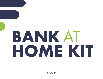# **BANK** AT **HOME KIT**

LENDER **EQUAL HOUSING** FDIC **MEMBER**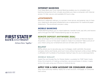### **INTERNET BANKING**

First State Bank and Trust Internet Banking enables you to complete most banking transactions from virtually anywhere you have a computer with Internet access. It's fast, secure, and available 24 hours a day.

### **eSTATEMENTS**

Electronic statement delivery is a quicker, more secure, and greener way to have your statements delivered! eStatements are a replacement for traditional paper statements. The enrollment process is easy.

### **MOBILE BANKING**

Mobile Banking allows you to check balances, transfer funds, pay bills, and receive alerts through the FSBT Mobile Banking app on any device.

### **REMOTE DEPOSIT ANYWHERE (RDA)**

Take advantage of the convenience, security, and simplicity of Remote Deposit Anywhere. Live out of the area? Unable to make it to a branch? Take a picture of your check using your smartphone and we will take care of the rest!

### **BILLPAY**

BillPay allows you to securely pay your mortgage, credit card bills, the power company, family and friends, and much more without having to write a check. BillPay is affiliated with hundreds of businesses making it easy for you to send payments.

### **MOBILE WALLET**

Apple Pay and Google Pay for Mobile Wallet is available for FSBT Debit Cards. Enjoy the simplicity of making contactless, secure purchases in stores, in apps, and on the web using your iPhone or Android device.

### **APPLY FOR A NEW ACCOUNT OR CONSUMER LOAN**

Stay home and stay healthy! Apply for a new account, mortgage, or consumer loan online.



Achieve More. Together.<sup>®</sup>

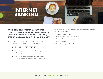# **INTERNET BANKING**

### **WITH INTERNET BANKING, YOU CAN COMPLETE MOST BANKING TRANSACTIONS FROM VIRTUALLY ANYWHERE. IT'S FAST, SECURE, AND AVAILABLE 24 HOURS A DAY.**

- **STEP 1** Visit [fsbt.com](http://www.fsbt.com) and click on the eBANKING tab. Select the INTERNET BANKING option.
- **STEP 2** Select SIGN UP FOR INTERNET BANKING.
- **STEP 3** Follow the guided instructions by using the DocuSign software.
- **STEP 4** A Universal Banker will be in contact within one business day to provide login credentials.

Once enrolled, you can manage a number of banking activities anytime, anywhere:

- > Access eStatements.
- > View account balances and history.
- > Transfer funds between accounts.
- > View checks written
- > Make loan payments and more!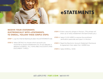# **eSTATEMENTS**

### **RECEIVE YOUR STATEMENTS ELECTRONICALLY WITH eSTATEMENTS. TO ENROLL, FOLLOW THESE SIMPLE STEPS:**

**STEP 1** Log into Internet Banking & select the eSTATEMENTS tab.

- **STEP 2** Select DETAILS to choose which accounts you would like to receive eStatements for. (If not selected, it defaults to ENROLL ALL AVAILABLE ACCOUNTS AND DOCUMENT TYPES.)
- **STEP 3** Enter a security phrase in the box. *(This phrase will show up on every eStatement the bank emails you.)*
- **STEP 4** Select CLICK HERE to receive the enrollment verification passcode and type it in the box.
- **STEP 5** Read the Electronic Account Statement Disclosure & Agreement then select the I AGREE box.
- **STEP 6** Select ENROLL NOW.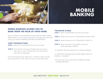

# **MOBILE BANKING**

### **MOBILE BANKING ALLOWS YOU TO BANK FROM THE PALM OF YOUR HAND.**

Once enrolled in Internet Banking, download the FSBT Mobile Banking app via the [Apple App Store](https://apps.apple.com/us/app/fsbt-mobile-banking/id867552213) or [Google Play](https://play.google.com/store/apps/details?id=com.fi7100.godough) and log in using your Internet Banking username and password.

### **VIEW TRANSACTIONS**

**STEP 1** Select MY ACCOUNTS from the main menu.

**STEP 2** From the list of accounts select which account you want to view. Transactions from the last 30 days will be displayed.

From the transaction list, select the "<" button to return to the list of accounts or main menu to return to the main menu.

### **TRANSFER FUNDS**

**STEP 1** Select TRANSFERS from the main menu.

- **STEP 2** Select the account to TRANSFER FUNDS FROM.
- **STEP 3** Select the account to TRANSFER FUNDS TO.
- **STEP 4** Fnter amounts in the dollars and cents fields and select SUBMIT.

An indicator that the transaction is sending displays.

A confirmation message and number display after the transfer is complete.

\*You can only set up one-time immediate transfers via Mobile Banking.

### **651.439.5195 | FSBT.COM | GLENDER FDIC**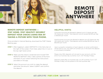### **REMOTE DEPOSIT ANYWHERE**

### **REMOTE DEPOSIT ANYWHERE — STAY HOME, STAY HEALTHY! SECURELY DEPOSIT YOUR CHECKS USING RDA BY TAKING A PICTURE WITH YOUR PHONE.**

Once enrolled in Internet Banking, download the FSBT Mobile Banking app.

- **STEP 1** After logging in, select DEPOSITS in the menu bar on the right of the screen. From here, select the (+) icon in the top right hand corner.
- **STEP 2** Make sure the check is endorsed and include FOR REMOTE DEPOSIT ONLY. Take a photo of the front and back of your check following the instructions provided on the app.
- **STEP 3** Select the account you wish to make the deposit and enter the amount. Select SUBMIT and confirm the deposit.

### **HELPFUL HINTS:**

Consumer accounts are allowed to deposit up to 5 checks per day (10 checks per month). Total deposits cannot exceed \$2,500 per day or \$9,000 per month.

Small business accounts are allowed to deposit up to 10 checks per day (20 checks per month). Total deposits cannot exceed \$5,000 per day or \$10,000 per month.

Upon successful completion of each deposit, an email confirmation will be sent to you. Our staff will contact you in the event the deposit is not properly accepted.

Please note, RDA deposits will not post to your account until the end of our business day (currently 3 p.m. CST Monday-Friday).

Deposits made after our business day cut off (currently 3 p.m. CST Monday-Friday) will be posted on the next business day.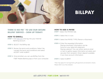

# **BILLPAY**

### **THERE IS NO FEE\* TO USE OUR SECURE BILLPAY SERVICE – SIGN UP TODAY!**

### **HOW TO ENROLL**

- **STEP 1** Visit [fsbt.com](http://www.fsbt.com) and log into your Internet Banking account.
- **STEP 2** SELECT the BillPay tab.
- **STEP 3** Review the terms and conditions. Select Yes, I accept the terms and conditions and select ACCEPT AND SUBMIT.
- **STEP 4** Once enrolled, you can use BillPay from the FSBT Mobile Banking app or from your computer.

**HOW TO ADD A PAYEE STEP 1** Select the PAYEES tab.

**STEP 2** Select the (+) icon.

**STEP 3** Select the PAYEE TYPE (Person or Business).

**STEP 4** Enter the requested information. Paying a business? Information can be found on your latest bill statement. Paying a person? You can either send an email or text to gather payee information privately and securely from recipient. Direct deposit available if you have account information.

**STEP 5** Select SUBMIT.

*\*Fees may apply for rush payments, gift payments and donation checks. Please refer to our fee schedule.*

### **651.439.5195 | FSBT.COM | GLENDER FDIC**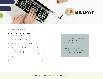

### **{BILLPAY CONTINUED}**

#### **HOW TO MAKE A PAYMENT**

**STEP 1** Select the ACTIVITY tab.

- **STEP 2** Select the (+) icon.
- **STEP 3** Select the payee you want to pay.
- **STEP 4** Enter the necessary payment information.
- **STEP 5** Select Submit. Payment confirmation displays for your records.

**STEP 6** Select OK.

*\*Fees may apply for rush payments, gift payments and donation checks. Please refer to our fee schedule.*

ELECTRONIC PAYMENTS ARE PAID WITHIN 1-2 BUSINESS DAYS.

PAPER CHECKS ARE MAILED AND DELIVERED WITHIN 5-7 BUSINESS DAYS.

### **651.439.5195 | FSBT.COM | GLENDER FDIC**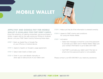# **MOBILE WALLET**

### **APPLE PAY AND GOOGLE PAY FOR MOBILE WALLET IS AVAILABLE FOR FSBT DEBIT CARDS.**

Enjoy the simplicity of making contactless, secure purchases in stores, in apps, and on the web using your iPhone or Android device. Link your FSBT Debit Card by following these steps:

- **STEP 1** Open up Apple Pay or Google Pay on your iPhone or Android device.
- **STEP 2** Agree to Apple's or Google's usage agreement.
- **STEP 3** Select Add Credit or Debit card.
- **STEP 4** Enter in your card details manually or allow app to take picture of your debit card.
- **STEP 5** Make sure that all of the information is entered correctly.
- **STEP 6** Agree to FSBT's terms and conditions for using the Mobile Wallet.
- **STEP 7** Activation.
	- > Select text message or email for a one time password to activate your debit card in Mobile Wallet. Make sure your contact information is up-to-date with FSBT.
	- > Call FSBT to activate your debit card if the text or email one time password option is not available.

Please contact us at 651.439.5195 if you need any assistance.